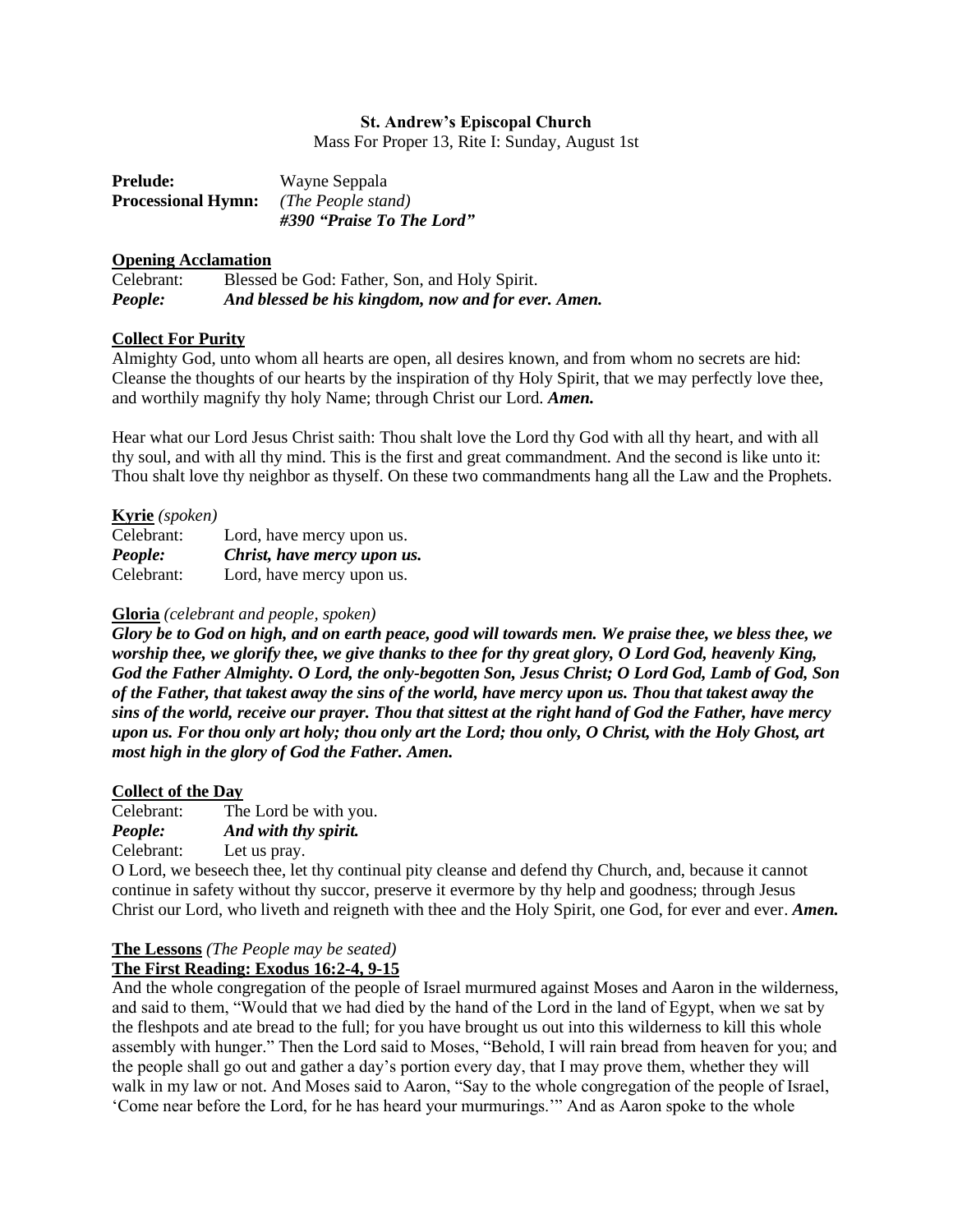#### **St. Andrew's Episcopal Church**

Mass For Proper 13, Rite I: Sunday, August 1st

| <b>Prelude:</b>           | Wayne Seppala             |
|---------------------------|---------------------------|
| <b>Processional Hymn:</b> | (The People stand)        |
|                           | #390 "Praise To The Lord" |

#### **Opening Acclamation**

| Celebrant: | Blessed be God: Father, Son, and Holy Spirit.       |
|------------|-----------------------------------------------------|
| People:    | And blessed be his kingdom, now and for ever. Amen. |

## **Collect For Purity**

Almighty God, unto whom all hearts are open, all desires known, and from whom no secrets are hid: Cleanse the thoughts of our hearts by the inspiration of thy Holy Spirit, that we may perfectly love thee, and worthily magnify thy holy Name; through Christ our Lord. *Amen.*

Hear what our Lord Jesus Christ saith: Thou shalt love the Lord thy God with all thy heart, and with all thy soul, and with all thy mind. This is the first and great commandment. And the second is like unto it: Thou shalt love thy neighbor as thyself. On these two commandments hang all the Law and the Prophets.

## **Kyrie** *(spoken)*

| Celebrant: | Lord, have mercy upon us.   |
|------------|-----------------------------|
| People:    | Christ, have mercy upon us. |
| Celebrant: | Lord, have mercy upon us.   |

#### **Gloria** *(celebrant and people, spoken)*

*Glory be to God on high, and on earth peace, good will towards men. We praise thee, we bless thee, we worship thee, we glorify thee, we give thanks to thee for thy great glory, O Lord God, heavenly King, God the Father Almighty. O Lord, the only-begotten Son, Jesus Christ; O Lord God, Lamb of God, Son of the Father, that takest away the sins of the world, have mercy upon us. Thou that takest away the sins of the world, receive our prayer. Thou that sittest at the right hand of God the Father, have mercy upon us. For thou only art holy; thou only art the Lord; thou only, O Christ, with the Holy Ghost, art most high in the glory of God the Father. Amen.*

## **Collect of the Day**

Celebrant: The Lord be with you. *People: And with thy spirit.* Celebrant: Let us pray.

O Lord, we beseech thee, let thy continual pity cleanse and defend thy Church, and, because it cannot continue in safety without thy succor, preserve it evermore by thy help and goodness; through Jesus Christ our Lord, who liveth and reigneth with thee and the Holy Spirit, one God, for ever and ever. *Amen.*

## **The Lessons** *(The People may be seated)*

## **The First Reading: Exodus 16:2-4, 9-15**

And the whole congregation of the people of Israel murmured against Moses and Aaron in the wilderness, and said to them, "Would that we had died by the hand of the Lord in the land of Egypt, when we sat by the fleshpots and ate bread to the full; for you have brought us out into this wilderness to kill this whole assembly with hunger." Then the Lord said to Moses, "Behold, I will rain bread from heaven for you; and the people shall go out and gather a day's portion every day, that I may prove them, whether they will walk in my law or not. And Moses said to Aaron, "Say to the whole congregation of the people of Israel, 'Come near before the Lord, for he has heard your murmurings.'" And as Aaron spoke to the whole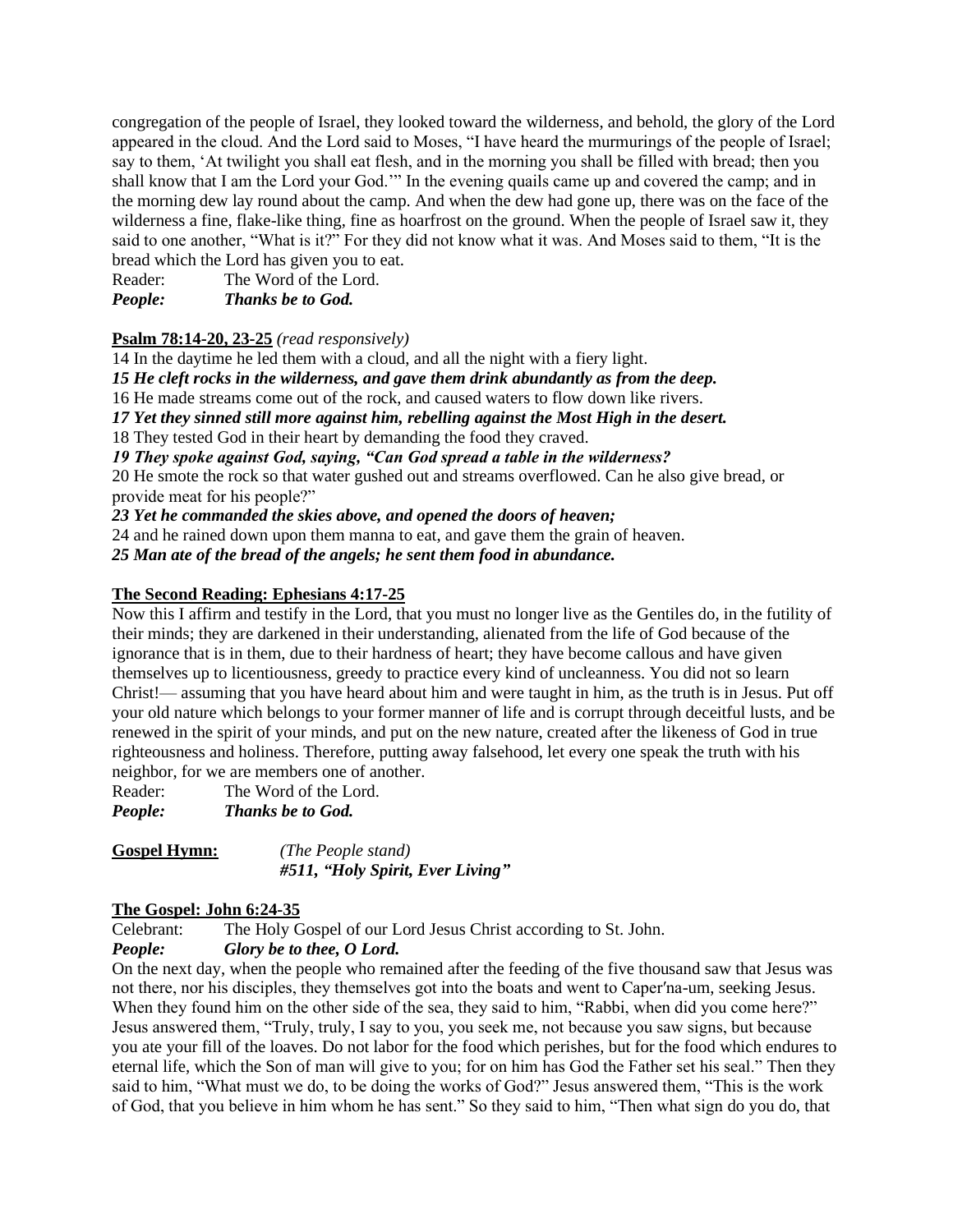congregation of the people of Israel, they looked toward the wilderness, and behold, the glory of the Lord appeared in the cloud. And the Lord said to Moses, "I have heard the murmurings of the people of Israel; say to them, 'At twilight you shall eat flesh, and in the morning you shall be filled with bread; then you shall know that I am the Lord your God.'" In the evening quails came up and covered the camp; and in the morning dew lay round about the camp. And when the dew had gone up, there was on the face of the wilderness a fine, flake-like thing, fine as hoarfrost on the ground. When the people of Israel saw it, they said to one another, "What is it?" For they did not know what it was. And Moses said to them, "It is the bread which the Lord has given you to eat.

Reader: The Word of the Lord.

*People: Thanks be to God.*

# **Psalm 78:14-20, 23-25** *(read responsively)*

14 In the daytime he led them with a cloud, and all the night with a fiery light. *15 He cleft rocks in the wilderness, and gave them drink abundantly as from the deep.* 16 He made streams come out of the rock, and caused waters to flow down like rivers. *17 Yet they sinned still more against him, rebelling against the Most High in the desert.* 18 They tested God in their heart by demanding the food they craved. *19 They spoke against God, saying, "Can God spread a table in the wilderness?* 20 He smote the rock so that water gushed out and streams overflowed. Can he also give bread, or provide meat for his people?" *23 Yet he commanded the skies above, and opened the doors of heaven;* 24 and he rained down upon them manna to eat, and gave them the grain of heaven. *25 Man ate of the bread of the angels; he sent them food in abundance.*

# **The Second Reading: Ephesians 4:17-25**

Now this I affirm and testify in the Lord, that you must no longer live as the Gentiles do, in the futility of their minds; they are darkened in their understanding, alienated from the life of God because of the ignorance that is in them, due to their hardness of heart; they have become callous and have given themselves up to licentiousness, greedy to practice every kind of uncleanness. You did not so learn Christ!— assuming that you have heard about him and were taught in him, as the truth is in Jesus. Put off your old nature which belongs to your former manner of life and is corrupt through deceitful lusts, and be renewed in the spirit of your minds, and put on the new nature, created after the likeness of God in true righteousness and holiness. Therefore, putting away falsehood, let every one speak the truth with his neighbor, for we are members one of another.

Reader: The Word of the Lord. *People: Thanks be to God.*

**Gospel Hymn:** *(The People stand) #511, "Holy Spirit, Ever Living"*

# **The Gospel: John 6:24-35**

Celebrant: The Holy Gospel of our Lord Jesus Christ according to St. John.

*People: Glory be to thee, O Lord.*

On the next day, when the people who remained after the feeding of the five thousand saw that Jesus was not there, nor his disciples, they themselves got into the boats and went to Caper′na-um, seeking Jesus. When they found him on the other side of the sea, they said to him, "Rabbi, when did you come here?" Jesus answered them, "Truly, truly, I say to you, you seek me, not because you saw signs, but because you ate your fill of the loaves. Do not labor for the food which perishes, but for the food which endures to eternal life, which the Son of man will give to you; for on him has God the Father set his seal." Then they said to him, "What must we do, to be doing the works of God?" Jesus answered them, "This is the work of God, that you believe in him whom he has sent." So they said to him, "Then what sign do you do, that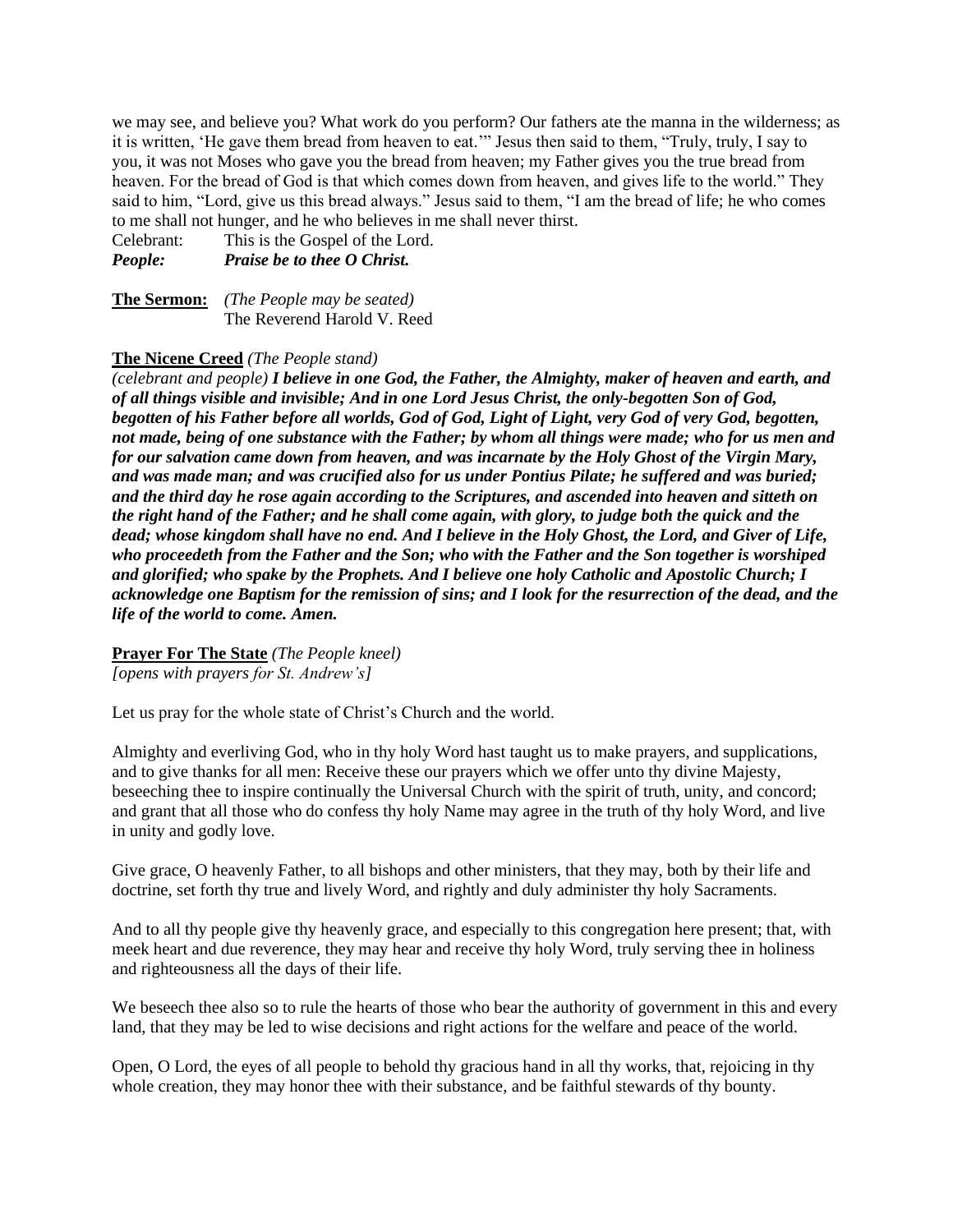we may see, and believe you? What work do you perform? Our fathers ate the manna in the wilderness; as it is written, 'He gave them bread from heaven to eat.'" Jesus then said to them, "Truly, truly, I say to you, it was not Moses who gave you the bread from heaven; my Father gives you the true bread from heaven. For the bread of God is that which comes down from heaven, and gives life to the world." They said to him, "Lord, give us this bread always." Jesus said to them, "I am the bread of life; he who comes to me shall not hunger, and he who believes in me shall never thirst.

Celebrant: This is the Gospel of the Lord. *People: Praise be to thee O Christ.*

**The Sermon:** *(The People may be seated)*  The Reverend Harold V. Reed

#### **The Nicene Creed** *(The People stand)*

*(celebrant and people) I believe in one God, the Father, the Almighty, maker of heaven and earth, and of all things visible and invisible; And in one Lord Jesus Christ, the only-begotten Son of God, begotten of his Father before all worlds, God of God, Light of Light, very God of very God, begotten, not made, being of one substance with the Father; by whom all things were made; who for us men and for our salvation came down from heaven, and was incarnate by the Holy Ghost of the Virgin Mary, and was made man; and was crucified also for us under Pontius Pilate; he suffered and was buried; and the third day he rose again according to the Scriptures, and ascended into heaven and sitteth on the right hand of the Father; and he shall come again, with glory, to judge both the quick and the dead; whose kingdom shall have no end. And I believe in the Holy Ghost, the Lord, and Giver of Life, who proceedeth from the Father and the Son; who with the Father and the Son together is worshiped and glorified; who spake by the Prophets. And I believe one holy Catholic and Apostolic Church; I acknowledge one Baptism for the remission of sins; and I look for the resurrection of the dead, and the life of the world to come. Amen.*

**Prayer For The State** *(The People kneel) [opens with prayers for St. Andrew's]*

Let us pray for the whole state of Christ's Church and the world.

Almighty and everliving God, who in thy holy Word hast taught us to make prayers, and supplications, and to give thanks for all men: Receive these our prayers which we offer unto thy divine Majesty, beseeching thee to inspire continually the Universal Church with the spirit of truth, unity, and concord; and grant that all those who do confess thy holy Name may agree in the truth of thy holy Word, and live in unity and godly love.

Give grace, O heavenly Father, to all bishops and other ministers, that they may, both by their life and doctrine, set forth thy true and lively Word, and rightly and duly administer thy holy Sacraments.

And to all thy people give thy heavenly grace, and especially to this congregation here present; that, with meek heart and due reverence, they may hear and receive thy holy Word, truly serving thee in holiness and righteousness all the days of their life.

We beseech thee also so to rule the hearts of those who bear the authority of government in this and every land, that they may be led to wise decisions and right actions for the welfare and peace of the world.

Open, O Lord, the eyes of all people to behold thy gracious hand in all thy works, that, rejoicing in thy whole creation, they may honor thee with their substance, and be faithful stewards of thy bounty.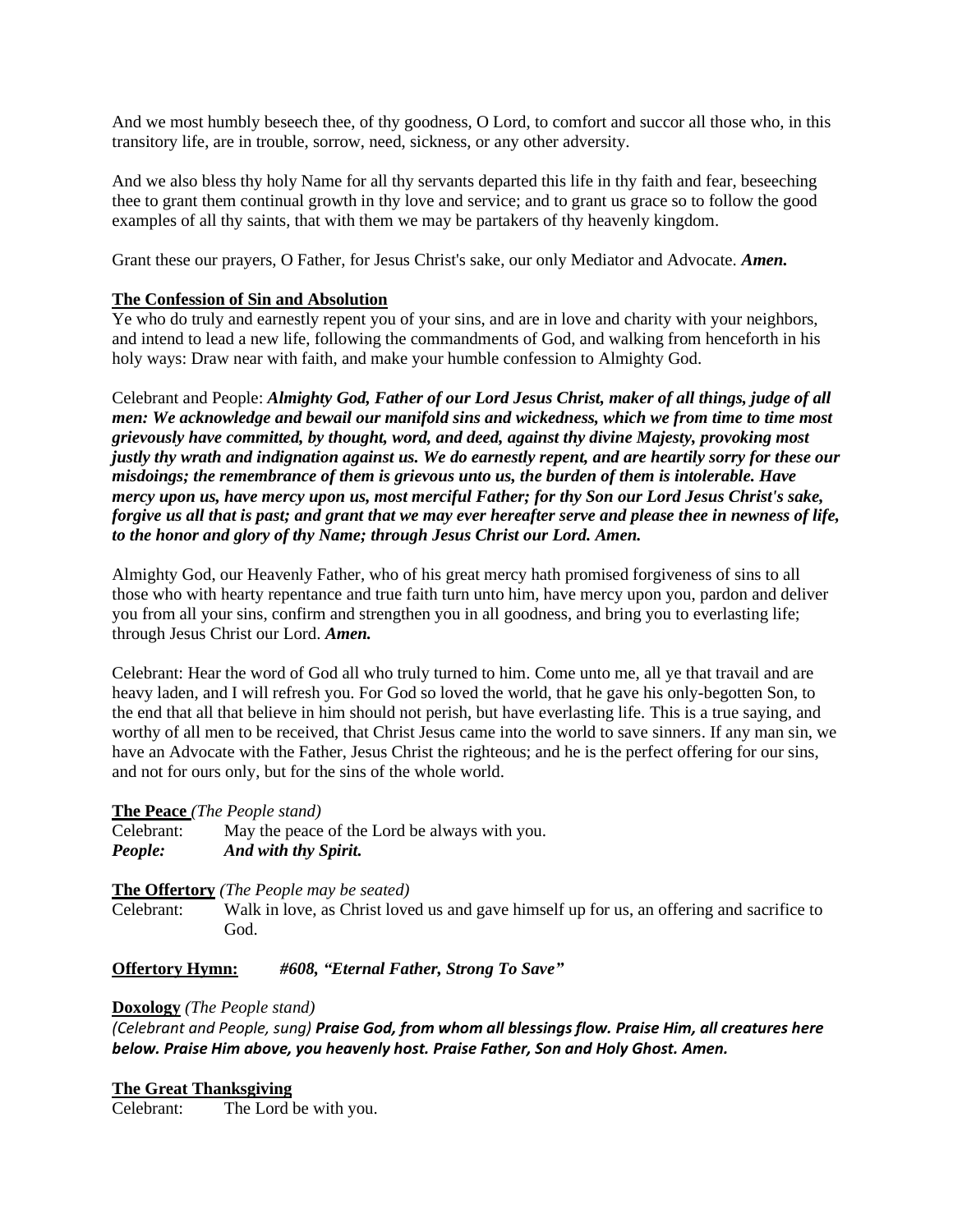And we most humbly beseech thee, of thy goodness, O Lord, to comfort and succor all those who, in this transitory life, are in trouble, sorrow, need, sickness, or any other adversity.

And we also bless thy holy Name for all thy servants departed this life in thy faith and fear, beseeching thee to grant them continual growth in thy love and service; and to grant us grace so to follow the good examples of all thy saints, that with them we may be partakers of thy heavenly kingdom.

Grant these our prayers, O Father, for Jesus Christ's sake, our only Mediator and Advocate. *Amen.*

## **The Confession of Sin and Absolution**

Ye who do truly and earnestly repent you of your sins, and are in love and charity with your neighbors, and intend to lead a new life, following the commandments of God, and walking from henceforth in his holy ways: Draw near with faith, and make your humble confession to Almighty God.

Celebrant and People: *Almighty God, Father of our Lord Jesus Christ, maker of all things, judge of all men: We acknowledge and bewail our manifold sins and wickedness, which we from time to time most grievously have committed, by thought, word, and deed, against thy divine Majesty, provoking most justly thy wrath and indignation against us. We do earnestly repent, and are heartily sorry for these our misdoings; the remembrance of them is grievous unto us, the burden of them is intolerable. Have mercy upon us, have mercy upon us, most merciful Father; for thy Son our Lord Jesus Christ's sake, forgive us all that is past; and grant that we may ever hereafter serve and please thee in newness of life, to the honor and glory of thy Name; through Jesus Christ our Lord. Amen.*

Almighty God, our Heavenly Father, who of his great mercy hath promised forgiveness of sins to all those who with hearty repentance and true faith turn unto him, have mercy upon you, pardon and deliver you from all your sins, confirm and strengthen you in all goodness, and bring you to everlasting life; through Jesus Christ our Lord. *Amen.*

Celebrant: Hear the word of God all who truly turned to him. Come unto me, all ye that travail and are heavy laden, and I will refresh you. For God so loved the world, that he gave his only-begotten Son, to the end that all that believe in him should not perish, but have everlasting life. This is a true saying, and worthy of all men to be received, that Christ Jesus came into the world to save sinners. If any man sin, we have an Advocate with the Father, Jesus Christ the righteous; and he is the perfect offering for our sins, and not for ours only, but for the sins of the whole world.

## **The Peace** *(The People stand)*

Celebrant: May the peace of the Lord be always with you. *People: And with thy Spirit.*

## **The Offertory** *(The People may be seated)*

Celebrant: Walk in love, as Christ loved us and gave himself up for us, an offering and sacrifice to God.

## **Offertory Hymn:** *#608, "Eternal Father, Strong To Save"*

## **Doxology** *(The People stand)*

*(Celebrant and People, sung) Praise God, from whom all blessings flow. Praise Him, all creatures here below. Praise Him above, you heavenly host. Praise Father, Son and Holy Ghost. Amen.*

## **The Great Thanksgiving**

Celebrant: The Lord be with you.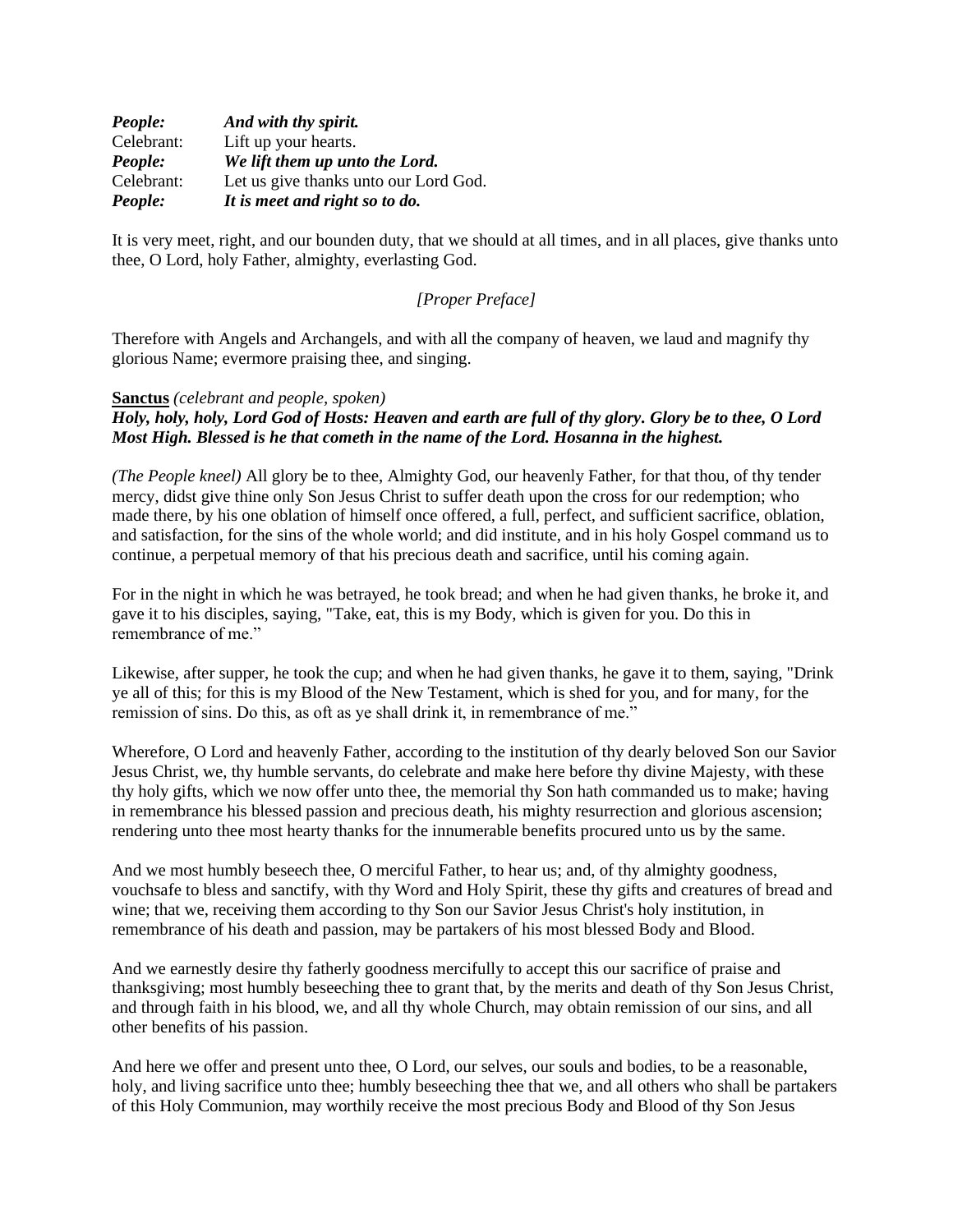| People:    | And with thy spirit.                  |
|------------|---------------------------------------|
| Celebrant: | Lift up your hearts.                  |
| People:    | We lift them up unto the Lord.        |
| Celebrant: | Let us give thanks unto our Lord God. |
| People:    | It is meet and right so to do.        |

It is very meet, right, and our bounden duty, that we should at all times, and in all places, give thanks unto thee, O Lord, holy Father, almighty, everlasting God.

## *[Proper Preface]*

Therefore with Angels and Archangels, and with all the company of heaven, we laud and magnify thy glorious Name; evermore praising thee, and singing.

#### **Sanctus** *(celebrant and people, spoken)*

# *Holy, holy, holy, Lord God of Hosts: Heaven and earth are full of thy glory. Glory be to thee, O Lord Most High. Blessed is he that cometh in the name of the Lord. Hosanna in the highest.*

*(The People kneel)* All glory be to thee, Almighty God, our heavenly Father, for that thou, of thy tender mercy, didst give thine only Son Jesus Christ to suffer death upon the cross for our redemption; who made there, by his one oblation of himself once offered, a full, perfect, and sufficient sacrifice, oblation, and satisfaction, for the sins of the whole world; and did institute, and in his holy Gospel command us to continue, a perpetual memory of that his precious death and sacrifice, until his coming again.

For in the night in which he was betrayed, he took bread; and when he had given thanks, he broke it, and gave it to his disciples, saying, "Take, eat, this is my Body, which is given for you. Do this in remembrance of me."

Likewise, after supper, he took the cup; and when he had given thanks, he gave it to them, saying, "Drink ye all of this; for this is my Blood of the New Testament, which is shed for you, and for many, for the remission of sins. Do this, as oft as ye shall drink it, in remembrance of me."

Wherefore, O Lord and heavenly Father, according to the institution of thy dearly beloved Son our Savior Jesus Christ, we, thy humble servants, do celebrate and make here before thy divine Majesty, with these thy holy gifts, which we now offer unto thee, the memorial thy Son hath commanded us to make; having in remembrance his blessed passion and precious death, his mighty resurrection and glorious ascension; rendering unto thee most hearty thanks for the innumerable benefits procured unto us by the same.

And we most humbly beseech thee, O merciful Father, to hear us; and, of thy almighty goodness, vouchsafe to bless and sanctify, with thy Word and Holy Spirit, these thy gifts and creatures of bread and wine; that we, receiving them according to thy Son our Savior Jesus Christ's holy institution, in remembrance of his death and passion, may be partakers of his most blessed Body and Blood.

And we earnestly desire thy fatherly goodness mercifully to accept this our sacrifice of praise and thanksgiving; most humbly beseeching thee to grant that, by the merits and death of thy Son Jesus Christ, and through faith in his blood, we, and all thy whole Church, may obtain remission of our sins, and all other benefits of his passion.

And here we offer and present unto thee, O Lord, our selves, our souls and bodies, to be a reasonable, holy, and living sacrifice unto thee; humbly beseeching thee that we, and all others who shall be partakers of this Holy Communion, may worthily receive the most precious Body and Blood of thy Son Jesus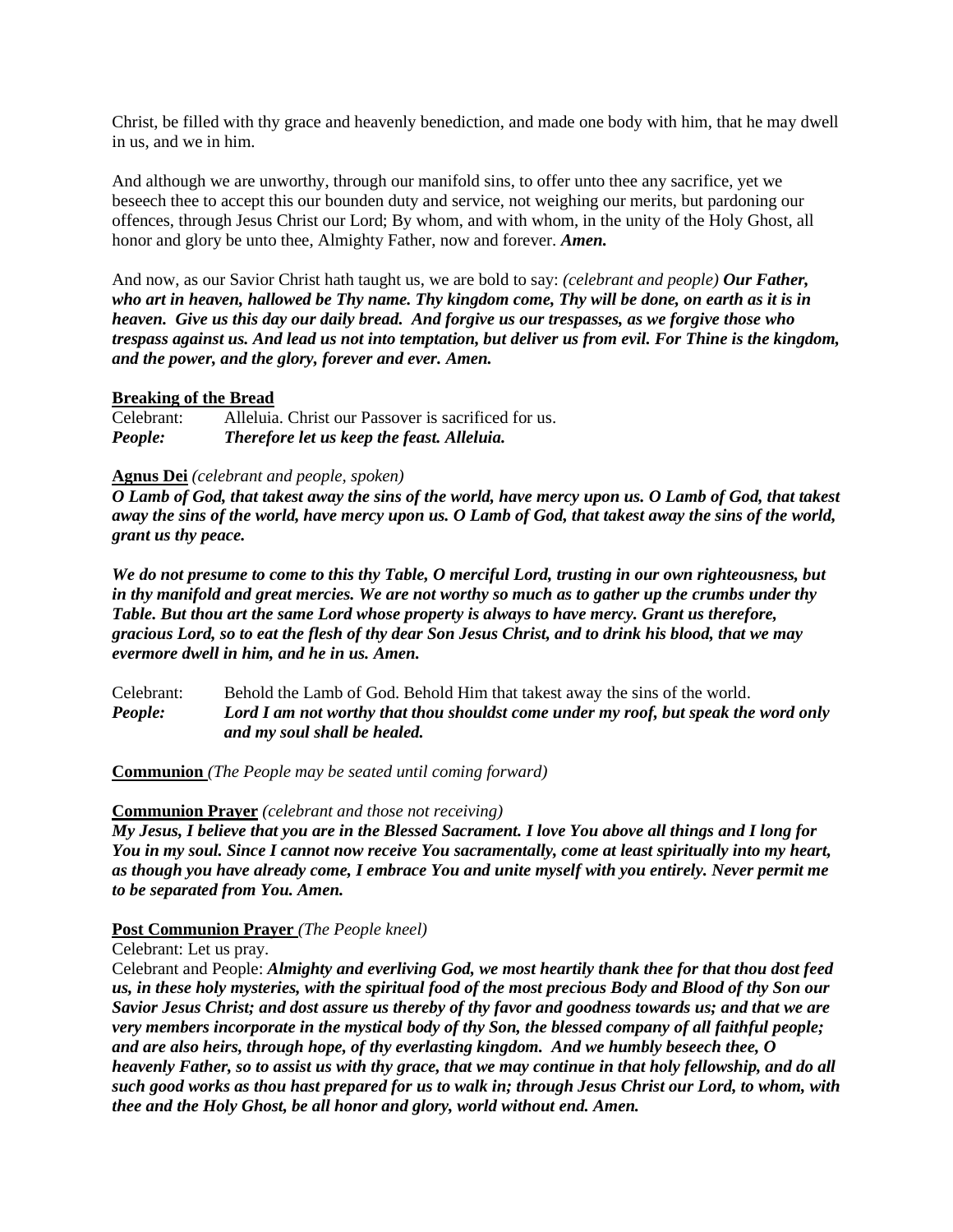Christ, be filled with thy grace and heavenly benediction, and made one body with him, that he may dwell in us, and we in him.

And although we are unworthy, through our manifold sins, to offer unto thee any sacrifice, yet we beseech thee to accept this our bounden duty and service, not weighing our merits, but pardoning our offences, through Jesus Christ our Lord; By whom, and with whom, in the unity of the Holy Ghost, all honor and glory be unto thee, Almighty Father, now and forever. *Amen.*

And now, as our Savior Christ hath taught us, we are bold to say: *(celebrant and people) Our Father, who art in heaven, hallowed be Thy name. Thy kingdom come, Thy will be done, on earth as it is in heaven. Give us this day our daily bread. And forgive us our trespasses, as we forgive those who trespass against us. And lead us not into temptation, but deliver us from evil. For Thine is the kingdom, and the power, and the glory, forever and ever. Amen.*

#### **Breaking of the Bread**

Celebrant: Alleluia. Christ our Passover is sacrificed for us. *People: Therefore let us keep the feast. Alleluia.*

#### **Agnus Dei** *(celebrant and people, spoken)*

*O Lamb of God, that takest away the sins of the world, have mercy upon us. O Lamb of God, that takest away the sins of the world, have mercy upon us. O Lamb of God, that takest away the sins of the world, grant us thy peace.*

*We do not presume to come to this thy Table, O merciful Lord, trusting in our own righteousness, but in thy manifold and great mercies. We are not worthy so much as to gather up the crumbs under thy Table. But thou art the same Lord whose property is always to have mercy. Grant us therefore, gracious Lord, so to eat the flesh of thy dear Son Jesus Christ, and to drink his blood, that we may evermore dwell in him, and he in us. Amen.*

Celebrant: Behold the Lamb of God. Behold Him that takest away the sins of the world. *People: Lord I am not worthy that thou shouldst come under my roof, but speak the word only and my soul shall be healed.*

**Communion** *(The People may be seated until coming forward)*

#### **Communion Prayer** *(celebrant and those not receiving)*

*My Jesus, I believe that you are in the Blessed Sacrament. I love You above all things and I long for You in my soul. Since I cannot now receive You sacramentally, come at least spiritually into my heart, as though you have already come, I embrace You and unite myself with you entirely. Never permit me to be separated from You. Amen.*

## **Post Communion Prayer** *(The People kneel)*

#### Celebrant: Let us pray.

Celebrant and People: *Almighty and everliving God, we most heartily thank thee for that thou dost feed us, in these holy mysteries, with the spiritual food of the most precious Body and Blood of thy Son our Savior Jesus Christ; and dost assure us thereby of thy favor and goodness towards us; and that we are very members incorporate in the mystical body of thy Son, the blessed company of all faithful people; and are also heirs, through hope, of thy everlasting kingdom. And we humbly beseech thee, O heavenly Father, so to assist us with thy grace, that we may continue in that holy fellowship, and do all such good works as thou hast prepared for us to walk in; through Jesus Christ our Lord, to whom, with thee and the Holy Ghost, be all honor and glory, world without end. Amen.*